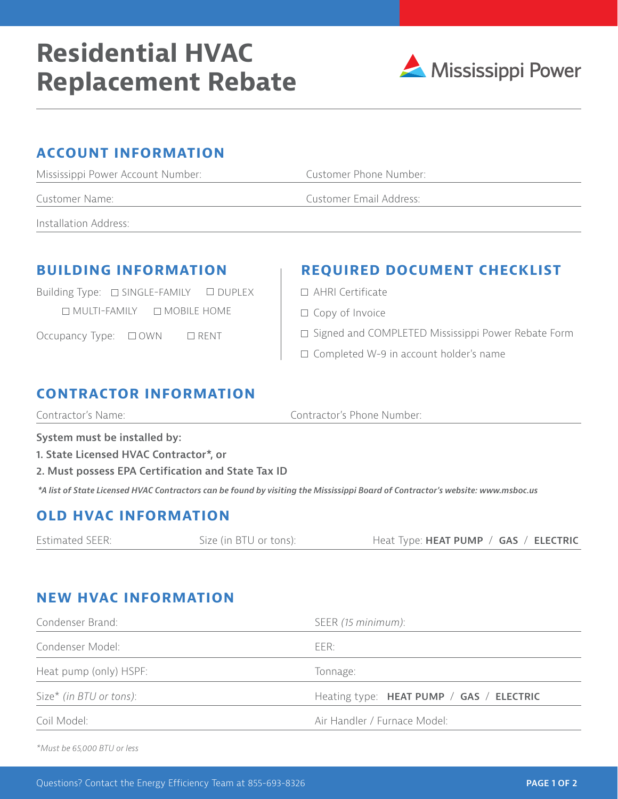# **Residential HVAC Replacement Rebate**



#### **ACCOUNT INFORMATION**

| Mississippi Power Account Number: | Customer Phone Number:  |  |
|-----------------------------------|-------------------------|--|
| Customer Name:                    | Customer Email Address: |  |
| Installation Address:             |                         |  |

Building Type:  $\Box$  SINGLE-FAMILY  $\Box$  DUPLEX  $\Box$  MULTI-FAMILY  $\Box$  MOBILE HOME

Occupancy Type:  $\Box$  OWN  $\Box$  RENT

## **BUILDING INFORMATION REQUIRED DOCUMENT CHECKLIST**

- AHRI Certificate
- $\Box$  Copy of Invoice
- □ Signed and COMPLETED Mississippi Power Rebate Form
- □ Completed W-9 in account holder's name

#### **CONTRACTOR INFORMATION**

| Contractor's Phone Number:<br>Contractor's Name: |
|--------------------------------------------------|
|--------------------------------------------------|

**System must be installed by:**

- **1. State Licensed HVAC Contractor\*, or**
- **2. Must possess EPA Certification and State Tax ID**

*\*A list of State Licensed HVAC Contractors can be found by visiting the Mississippi Board of Contractor's website: www.msboc.us*

#### **OLD HVAC INFORMATION**

| Estimated SEER: | Size (in BTU or tons): | Heat Type: HEAT PUMP / GAS / ELECTRIC |  |  |
|-----------------|------------------------|---------------------------------------|--|--|
|-----------------|------------------------|---------------------------------------|--|--|

### **NEW HVAC INFORMATION**

| Condenser Brand:        | SEER (15 minimum):                       |  |
|-------------------------|------------------------------------------|--|
| Condenser Model:        | EER:                                     |  |
| Heat pump (only) HSPF:  | Tonnage:                                 |  |
| Size* (in BTU or tons): | Heating type: HEAT PUMP / GAS / ELECTRIC |  |
| Coil Model:             | Air Handler / Furnace Model:             |  |

*\*Must be 65,000 BTU or less*